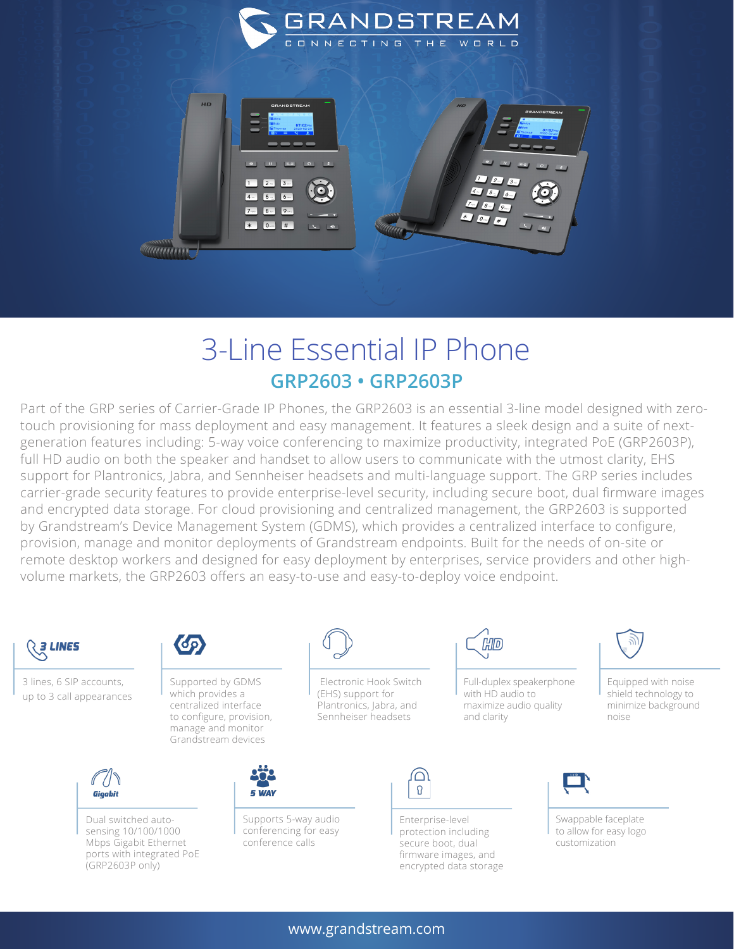



## 3-Line Essential IP Phone **GRP2603 • GRP2603P**

Part of the GRP series of Carrier-Grade IP Phones, the GRP2603 is an essential 3-line model designed with zerotouch provisioning for mass deployment and easy management. It features a sleek design and a suite of nextgeneration features including: 5-way voice conferencing to maximize productivity, integrated PoE (GRP2603P), full HD audio on both the speaker and handset to allow users to communicate with the utmost clarity, EHS support for Plantronics, Jabra, and Sennheiser headsets and multi-language support. The GRP series includes carrier-grade security features to provide enterprise-level security, including secure boot, dual firmware images and encrypted data storage. For cloud provisioning and centralized management, the GRP2603 is supported by Grandstream's Device Management System (GDMS), which provides a centralized interface to configure, provision, manage and monitor deployments of Grandstream endpoints. Built for the needs of on-site or remote desktop workers and designed for easy deployment by enterprises, service providers and other highvolume markets, the GRP2603 offers an easy-to-use and easy-to-deploy voice endpoint.



3 lines, 6 SIP accounts, up to 3 call appearances



Supported by GDMS which provides a centralized interface to configure, provision, manage and monitor Grandstream devices



Dual switched autosensing 10/100/1000 Mbps Gigabit Ethernet ports with integrated PoE (GRP2603P only)



 Electronic Hook Switch (EHS) support for Plantronics, Jabra, and Sennheiser headsets



Supports 5-way audio conferencing for easy conference calls



Full-duplex speakerphone with HD audio to maximize audio quality and clarity

0

Enterprise-level protection including secure boot, dual firmware images, and encrypted data storage



Equipped with noise shield technology to minimize background noise



Swappable faceplate to allow for easy logo customization